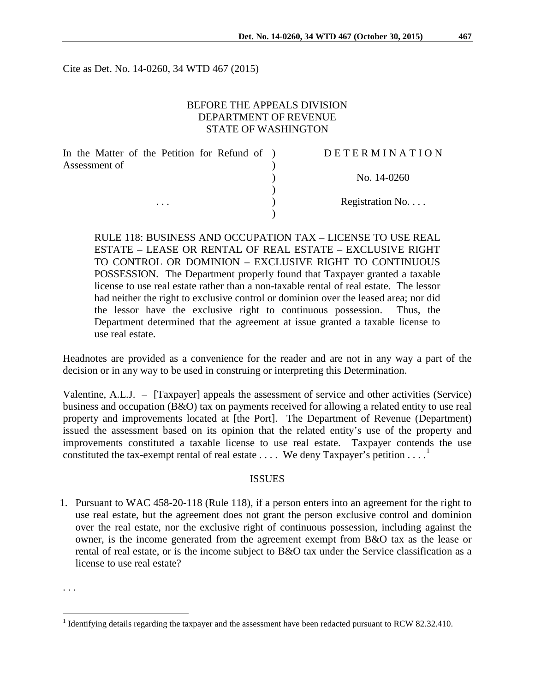Cite as Det. No. 14-0260, 34 WTD 467 (2015)

### BEFORE THE APPEALS DIVISION DEPARTMENT OF REVENUE STATE OF WASHINGTON

| In the Matter of the Petition for Refund of ) |          |  |  | <b>DETERMINATION</b> |
|-----------------------------------------------|----------|--|--|----------------------|
| Assessment of                                 |          |  |  |                      |
|                                               |          |  |  | No. 14-0260          |
|                                               |          |  |  |                      |
|                                               | $\cdots$ |  |  | Registration No      |
|                                               |          |  |  |                      |

RULE 118: BUSINESS AND OCCUPATION TAX – LICENSE TO USE REAL ESTATE – LEASE OR RENTAL OF REAL ESTATE – EXCLUSIVE RIGHT TO CONTROL OR DOMINION – EXCLUSIVE RIGHT TO CONTINUOUS POSSESSION. The Department properly found that Taxpayer granted a taxable license to use real estate rather than a non-taxable rental of real estate. The lessor had neither the right to exclusive control or dominion over the leased area; nor did the lessor have the exclusive right to continuous possession. Thus, the Department determined that the agreement at issue granted a taxable license to use real estate.

Headnotes are provided as a convenience for the reader and are not in any way a part of the decision or in any way to be used in construing or interpreting this Determination.

Valentine, A.L.J. – [Taxpayer] appeals the assessment of service and other activities (Service) business and occupation (B&O) tax on payments received for allowing a related entity to use real property and improvements located at [the Port]. The Department of Revenue (Department) issued the assessment based on its opinion that the related entity's use of the property and improvements constituted a taxable license to use real estate. Taxpayer contends the use constituted the tax-exempt rental of real estate  $\dots$ . We deny Taxpayer's petition  $\dots$ .

#### ISSUES

1. Pursuant to WAC 458-20-118 (Rule 118), if a person enters into an agreement for the right to use real estate, but the agreement does not grant the person exclusive control and dominion over the real estate, nor the exclusive right of continuous possession, including against the owner, is the income generated from the agreement exempt from B&O tax as the lease or rental of real estate, or is the income subject to B&O tax under the Service classification as a license to use real estate?

. . .

<span id="page-0-0"></span><sup>&</sup>lt;sup>1</sup> Identifying details regarding the taxpayer and the assessment have been redacted pursuant to RCW 82.32.410.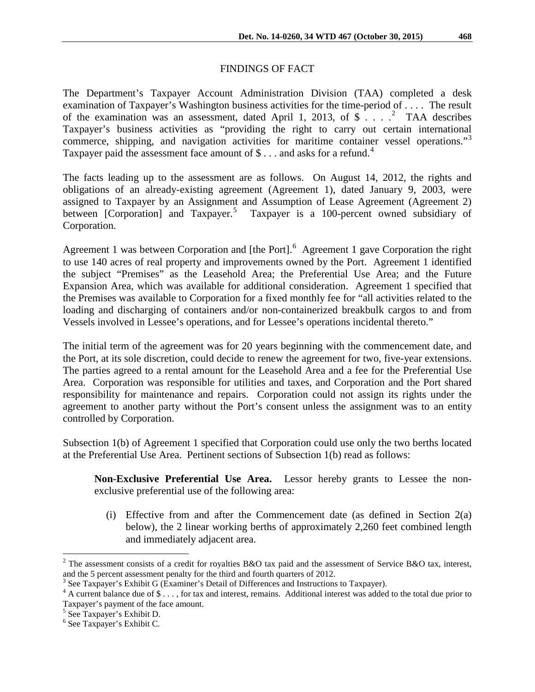# FINDINGS OF FACT

The Department's Taxpayer Account Administration Division (TAA) completed a desk examination of Taxpayer's Washington business activities for the time-period of . . . . The result of the examination was an assessment, dated April 1, [2](#page-1-0)013, of  $\frac{1}{2}$  ... <sup>2</sup> TAA describes Taxpayer's business activities as "providing the right to carry out certain international commerce, shipping, and navigation activities for maritime container vessel operations."<sup>[3](#page-1-1)</sup> Taxpayer paid the assessment face amount of \$... and asks for a refund.<sup>[4](#page-1-2)</sup>

The facts leading up to the assessment are as follows. On August 14, 2012, the rights and obligations of an already-existing agreement (Agreement 1), dated January 9, 2003, were assigned to Taxpayer by an Assignment and Assumption of Lease Agreement (Agreement 2) between [Corporation] and Taxpayer.<sup>[5](#page-1-3)</sup> Taxpayer is a 100-percent owned subsidiary of Corporation.

Agreement 1 was between Corporation and [the Port].<sup>[6](#page-1-4)</sup> Agreement 1 gave Corporation the right to use 140 acres of real property and improvements owned by the Port. Agreement 1 identified the subject "Premises" as the Leasehold Area; the Preferential Use Area; and the Future Expansion Area, which was available for additional consideration. Agreement 1 specified that the Premises was available to Corporation for a fixed monthly fee for "all activities related to the loading and discharging of containers and/or non-containerized breakbulk cargos to and from Vessels involved in Lessee's operations, and for Lessee's operations incidental thereto."

The initial term of the agreement was for 20 years beginning with the commencement date, and the Port, at its sole discretion, could decide to renew the agreement for two, five-year extensions. The parties agreed to a rental amount for the Leasehold Area and a fee for the Preferential Use Area. Corporation was responsible for utilities and taxes, and Corporation and the Port shared responsibility for maintenance and repairs. Corporation could not assign its rights under the agreement to another party without the Port's consent unless the assignment was to an entity controlled by Corporation.

Subsection 1(b) of Agreement 1 specified that Corporation could use only the two berths located at the Preferential Use Area. Pertinent sections of Subsection 1(b) read as follows:

**Non-Exclusive Preferential Use Area.** Lessor hereby grants to Lessee the nonexclusive preferential use of the following area:

(i) Effective from and after the Commencement date (as defined in Section 2(a) below), the 2 linear working berths of approximately 2,260 feet combined length and immediately adjacent area.

<span id="page-1-0"></span><sup>&</sup>lt;sup>2</sup> The assessment consists of a credit for royalties B&O tax paid and the assessment of Service B&O tax, interest, and the 5 percent assessment penalty for the third and fourth quarters of 2012.<br><sup>3</sup> See Taxpayer's Exhibit G (Examiner's Detail of Differences and Instructions to Taxpayer).

<span id="page-1-1"></span>

<span id="page-1-2"></span><sup>&</sup>lt;sup>4</sup> A current balance due of \$ . . . , for tax and interest, remains. Additional interest was added to the total due prior to Taxpayer's payment of the face amount. <sup>5</sup> See Taxpayer's Exhibit D.

<span id="page-1-3"></span>

<span id="page-1-4"></span><sup>6</sup> See Taxpayer's Exhibit C.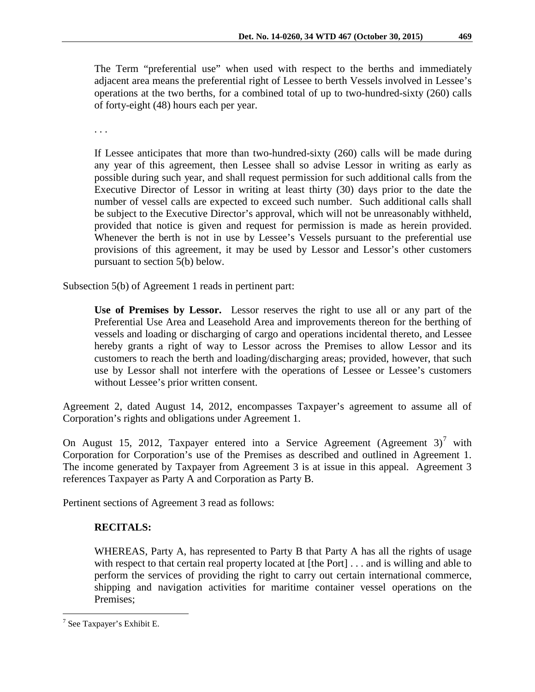The Term "preferential use" when used with respect to the berths and immediately adjacent area means the preferential right of Lessee to berth Vessels involved in Lessee's operations at the two berths, for a combined total of up to two-hundred-sixty (260) calls of forty-eight (48) hours each per year.

. . .

If Lessee anticipates that more than two-hundred-sixty (260) calls will be made during any year of this agreement, then Lessee shall so advise Lessor in writing as early as possible during such year, and shall request permission for such additional calls from the Executive Director of Lessor in writing at least thirty (30) days prior to the date the number of vessel calls are expected to exceed such number. Such additional calls shall be subject to the Executive Director's approval, which will not be unreasonably withheld, provided that notice is given and request for permission is made as herein provided. Whenever the berth is not in use by Lessee's Vessels pursuant to the preferential use provisions of this agreement, it may be used by Lessor and Lessor's other customers pursuant to section 5(b) below.

Subsection 5(b) of Agreement 1 reads in pertinent part:

**Use of Premises by Lessor.** Lessor reserves the right to use all or any part of the Preferential Use Area and Leasehold Area and improvements thereon for the berthing of vessels and loading or discharging of cargo and operations incidental thereto, and Lessee hereby grants a right of way to Lessor across the Premises to allow Lessor and its customers to reach the berth and loading/discharging areas; provided, however, that such use by Lessor shall not interfere with the operations of Lessee or Lessee's customers without Lessee's prior written consent.

Agreement 2, dated August 14, 2012, encompasses Taxpayer's agreement to assume all of Corporation's rights and obligations under Agreement 1.

On August 15, 2012, Taxpayer entered into a Service Agreement (Agreement  $3<sup>7</sup>$  $3<sup>7</sup>$  $3<sup>7</sup>$  with Corporation for Corporation's use of the Premises as described and outlined in Agreement 1. The income generated by Taxpayer from Agreement 3 is at issue in this appeal. Agreement 3 references Taxpayer as Party A and Corporation as Party B.

Pertinent sections of Agreement 3 read as follows:

## **RECITALS:**

WHEREAS, Party A, has represented to Party B that Party A has all the rights of usage with respect to that certain real property located at [the Port] . . . and is willing and able to perform the services of providing the right to carry out certain international commerce, shipping and navigation activities for maritime container vessel operations on the Premises;

<span id="page-2-0"></span> <sup>7</sup> See Taxpayer's Exhibit E.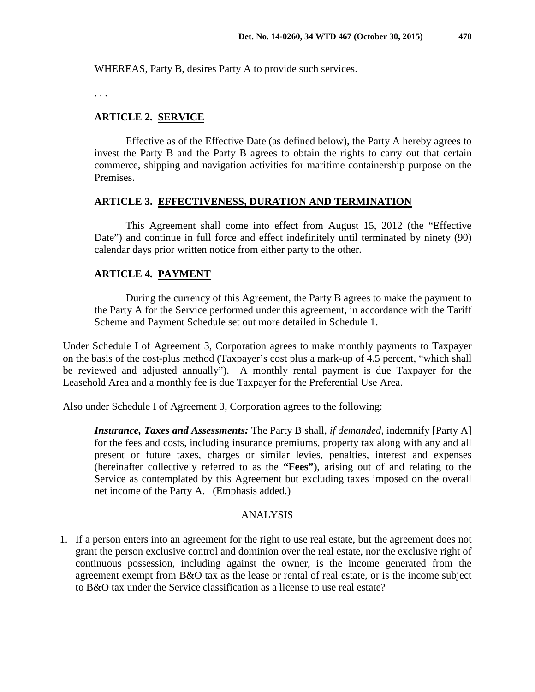WHEREAS, Party B, desires Party A to provide such services.

. . .

### **ARTICLE 2. SERVICE**

Effective as of the Effective Date (as defined below), the Party A hereby agrees to invest the Party B and the Party B agrees to obtain the rights to carry out that certain commerce, shipping and navigation activities for maritime containership purpose on the Premises.

#### **ARTICLE 3. EFFECTIVENESS, DURATION AND TERMINATION**

This Agreement shall come into effect from August 15, 2012 (the "Effective Date") and continue in full force and effect indefinitely until terminated by ninety (90) calendar days prior written notice from either party to the other.

#### **ARTICLE 4. PAYMENT**

During the currency of this Agreement, the Party B agrees to make the payment to the Party A for the Service performed under this agreement, in accordance with the Tariff Scheme and Payment Schedule set out more detailed in Schedule 1.

Under Schedule I of Agreement 3, Corporation agrees to make monthly payments to Taxpayer on the basis of the cost-plus method (Taxpayer's cost plus a mark-up of 4.5 percent, "which shall be reviewed and adjusted annually"). A monthly rental payment is due Taxpayer for the Leasehold Area and a monthly fee is due Taxpayer for the Preferential Use Area.

Also under Schedule I of Agreement 3, Corporation agrees to the following:

*Insurance, Taxes and Assessments:* The Party B shall, *if demanded*, indemnify [Party A] for the fees and costs, including insurance premiums, property tax along with any and all present or future taxes, charges or similar levies, penalties, interest and expenses (hereinafter collectively referred to as the **"Fees"**), arising out of and relating to the Service as contemplated by this Agreement but excluding taxes imposed on the overall net income of the Party A. (Emphasis added.)

#### ANALYSIS

1. If a person enters into an agreement for the right to use real estate, but the agreement does not grant the person exclusive control and dominion over the real estate, nor the exclusive right of continuous possession, including against the owner, is the income generated from the agreement exempt from B&O tax as the lease or rental of real estate, or is the income subject to B&O tax under the Service classification as a license to use real estate?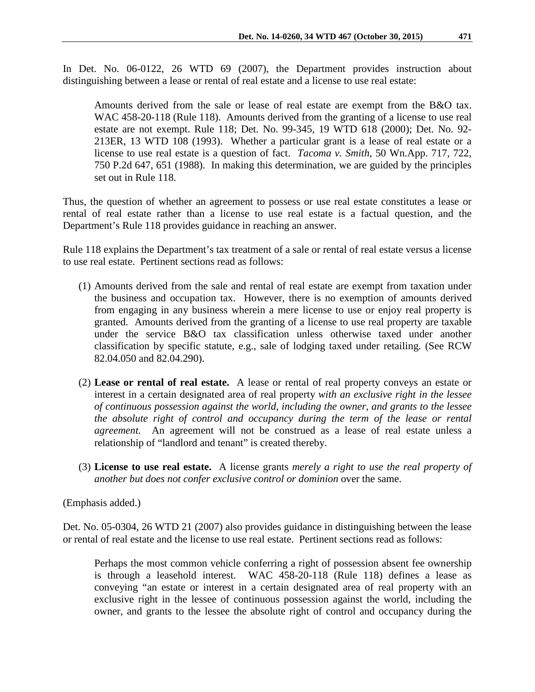In Det. No. 06-0122, 26 WTD 69 (2007), the Department provides instruction about distinguishing between a lease or rental of real estate and a license to use real estate:

Amounts derived from the sale or lease of real estate are exempt from the B&O tax. WAC 458-20-118 (Rule 118). Amounts derived from the granting of a license to use real estate are not exempt. Rule 118; Det. No. 99-345, 19 WTD 618 (2000); Det. No. 92- 213ER, 13 WTD 108 (1993). Whether a particular grant is a lease of real estate or a license to use real estate is a question of fact. *Tacoma v. Smith*, 50 Wn.App. 717, 722, 750 P.2d 647, 651 (1988). In making this determination, we are guided by the principles set out in Rule 118.

Thus, the question of whether an agreement to possess or use real estate constitutes a lease or rental of real estate rather than a license to use real estate is a factual question, and the Department's Rule 118 provides guidance in reaching an answer.

Rule 118 explains the Department's tax treatment of a sale or rental of real estate versus a license to use real estate. Pertinent sections read as follows:

- (1) Amounts derived from the sale and rental of real estate are exempt from taxation under the business and occupation tax. However, there is no exemption of amounts derived from engaging in any business wherein a mere license to use or enjoy real property is granted. Amounts derived from the granting of a license to use real property are taxable under the service B&O tax classification unless otherwise taxed under another classification by specific statute, e.g., sale of lodging taxed under retailing. (See RCW 82.04.050 and 82.04.290).
- (2) **Lease or rental of real estate.** A lease or rental of real property conveys an estate or interest in a certain designated area of real property *with an exclusive right in the lessee of continuous possession against the world, including the owner, and grants to the lessee the absolute right of control and occupancy during the term of the lease or rental agreement.* An agreement will not be construed as a lease of real estate unless a relationship of "landlord and tenant" is created thereby.
- (3) **License to use real estate.** A license grants *merely a right to use the real property of another but does not confer exclusive control or dominion* over the same.

(Emphasis added.)

Det. No. 05-0304, 26 WTD 21 (2007) also provides guidance in distinguishing between the lease or rental of real estate and the license to use real estate. Pertinent sections read as follows:

Perhaps the most common vehicle conferring a right of possession absent fee ownership is through a leasehold interest. WAC 458-20-118 (Rule 118) defines a lease as conveying "an estate or interest in a certain designated area of real property with an exclusive right in the lessee of continuous possession against the world, including the owner, and grants to the lessee the absolute right of control and occupancy during the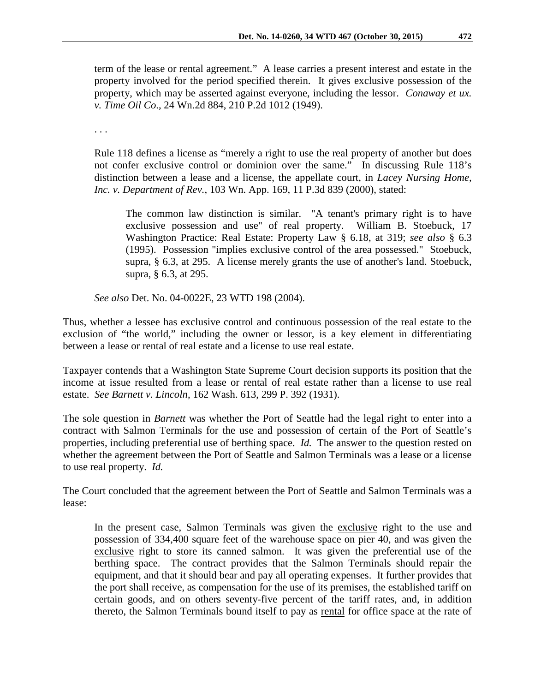term of the lease or rental agreement." A lease carries a present interest and estate in the property involved for the period specified therein. It gives exclusive possession of the property, which may be asserted against everyone, including the lessor. *Conaway et ux. v. Time Oil Co*., 24 Wn.2d 884, 210 P.2d 1012 (1949).

. . .

Rule 118 defines a license as "merely a right to use the real property of another but does not confer exclusive control or dominion over the same." In discussing Rule 118's distinction between a lease and a license, the appellate court, in *Lacey Nursing Home, Inc. v. Department of Rev.*, 103 Wn. App. 169, 11 P.3d 839 (2000), stated:

The common law distinction is similar. "A tenant's primary right is to have exclusive possession and use" of real property. William B. Stoebuck, 17 Washington Practice: Real Estate: Property Law § 6.18, at 319; *see also* § 6.3 (1995). Possession "implies exclusive control of the area possessed." Stoebuck, supra, § 6.3, at 295. A license merely grants the use of another's land. Stoebuck, supra, § 6.3, at 295.

*See also* Det. No. 04-0022E, 23 WTD 198 (2004).

Thus, whether a lessee has exclusive control and continuous possession of the real estate to the exclusion of "the world," including the owner or lessor, is a key element in differentiating between a lease or rental of real estate and a license to use real estate.

Taxpayer contends that a Washington State Supreme Court decision supports its position that the income at issue resulted from a lease or rental of real estate rather than a license to use real estate. *See Barnett v. Lincoln*, 162 Wash. 613, 299 P. 392 (1931).

The sole question in *Barnett* was whether the Port of Seattle had the legal right to enter into a contract with Salmon Terminals for the use and possession of certain of the Port of Seattle's properties, including preferential use of berthing space. *Id.* The answer to the question rested on whether the agreement between the Port of Seattle and Salmon Terminals was a lease or a license to use real property. *Id.*

The Court concluded that the agreement between the Port of Seattle and Salmon Terminals was a lease:

In the present case, Salmon Terminals was given the exclusive right to the use and possession of 334,400 square feet of the warehouse space on pier 40, and was given the exclusive right to store its canned salmon. It was given the preferential use of the berthing space. The contract provides that the Salmon Terminals should repair the equipment, and that it should bear and pay all operating expenses. It further provides that the port shall receive, as compensation for the use of its premises, the established tariff on certain goods, and on others seventy-five percent of the tariff rates, and, in addition thereto, the Salmon Terminals bound itself to pay as rental for office space at the rate of